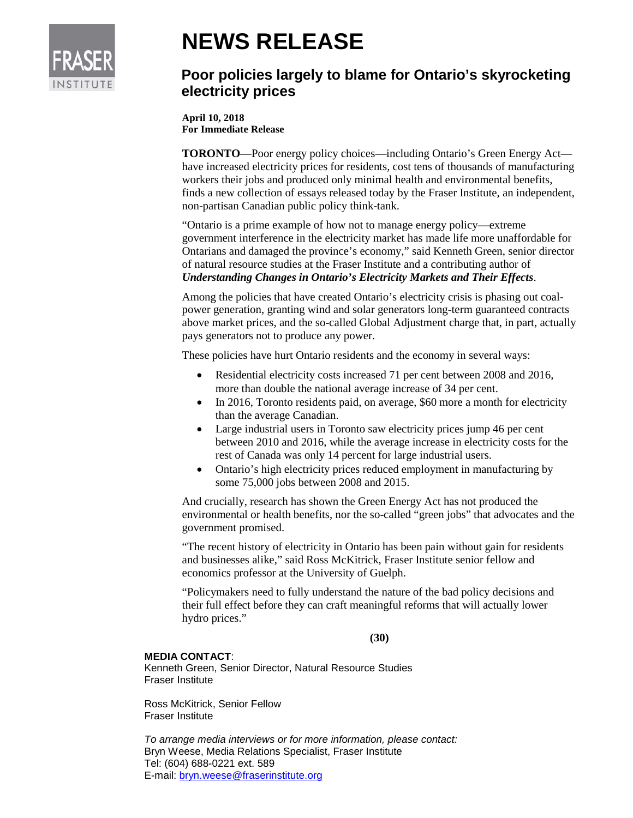

## **NEWS RELEASE**

## **Poor policies largely to blame for Ontario's skyrocketing electricity prices**

**April 10, 2018 For Immediate Release**

**TORONTO**—Poor energy policy choices—including Ontario's Green Energy Act have increased electricity prices for residents, cost tens of thousands of manufacturing workers their jobs and produced only minimal health and environmental benefits, finds a new collection of essays released today by the Fraser Institute, an independent, non-partisan Canadian public policy think-tank.

"Ontario is a prime example of how not to manage energy policy—extreme government interference in the electricity market has made life more unaffordable for Ontarians and damaged the province's economy," said Kenneth Green, senior director of natural resource studies at the Fraser Institute and a contributing author of *Understanding Changes in Ontario's Electricity Markets and Their Effects*.

Among the policies that have created Ontario's electricity crisis is phasing out coalpower generation, granting wind and solar generators long-term guaranteed contracts above market prices, and the so-called Global Adjustment charge that, in part, actually pays generators not to produce any power.

These policies have hurt Ontario residents and the economy in several ways:

- Residential electricity costs increased 71 per cent between 2008 and 2016, more than double the national average increase of 34 per cent.
- In 2016, Toronto residents paid, on average, \$60 more a month for electricity than the average Canadian.
- Large industrial users in Toronto saw electricity prices jump 46 per cent between 2010 and 2016, while the average increase in electricity costs for the rest of Canada was only 14 percent for large industrial users.
- Ontario's high electricity prices reduced employment in manufacturing by some 75,000 jobs between 2008 and 2015.

And crucially, research has shown the Green Energy Act has not produced the environmental or health benefits, nor the so-called "green jobs" that advocates and the government promised.

"The recent history of electricity in Ontario has been pain without gain for residents and businesses alike," said Ross McKitrick, Fraser Institute senior fellow and economics professor at the University of Guelph.

"Policymakers need to fully understand the nature of the bad policy decisions and their full effect before they can craft meaningful reforms that will actually lower hydro prices."

**(30)**

## **MEDIA CONTACT**:

Kenneth Green, Senior Director, Natural Resource Studies Fraser Institute

Ross McKitrick, Senior Fellow Fraser Institute

*To arrange media interviews or for more information, please contact:* Bryn Weese, Media Relations Specialist, Fraser Institute Tel: (604) 688-0221 ext. 589 E-mail: [bryn.weese@fraserinstitute.org](mailto:bryn.weese@fraserinstitute.org)